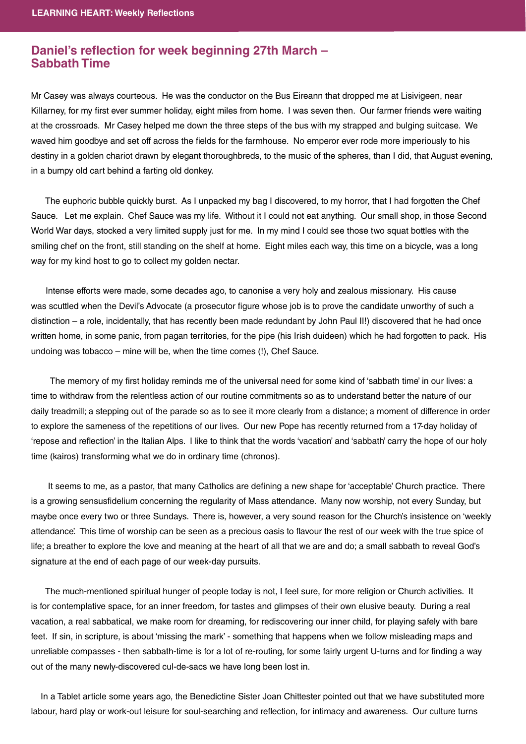## **Daniel's reflection for week beginning 27th March -<br>Sabbath Time Sabbath Time**

Mr Casey was always courteous. He was the conductor on the Bus Eireann that dropped me at Lisivigeen, near Killarney, for my first ever summer holiday, eight miles from home. I was seven then. Our farmer friends were waiting at the crossroads. Mr Casey helped me down the three steps of the bus with my strapped and bulging suitcase. We waved him goodbye and set off across the fields for the farmhouse. No emperor ever rode more imperiously to his destiny in a golden chariot drawn by elegant thoroughbreds, to the music of the spheres, than I did, that August evening, in a bumpy old cart behind a farting old donkey.

 The euphoric bubble quickly burst. As I unpacked my bag I discovered, to my horror, that I had forgotten the Chef Sauce. Let me explain. Chef Sauce was my life. Without it I could not eat anything. Our small shop, in those Second World War days, stocked a very limited supply just for me. In my mind I could see those two squat bottles with the smiling chef on the front, still standing on the shelf at home. Eight miles each way, this time on a bicycle, was a long way for my kind host to go to collect my golden nectar.

 Intense efforts were made, some decades ago, to canonise a very holy and zealous missionary. His cause was scuttled when the Devil's Advocate (a prosecutor figure whose job is to prove the candidate unworthy of such a distinction – a role, incidentally, that has recently been made redundant by John Paul II!) discovered that he had once written home, in some panic, from pagan territories, for the pipe (his Irish duideen) which he had forgotten to pack. His undoing was tobacco – mine will be, when the time comes (!), Chef Sauce.

The memory of my first holiday reminds me of the universal need for some kind of 'sabbath time' in our lives: a time to withdraw from the relentless action of our routine commitments so as to understand better the nature of our daily treadmill; a stepping out of the parade so as to see it more clearly from a distance; a moment of difference in order to explore the sameness of the repetitions of our lives. Our new Pope has recently returned from a 17-day holiday of 'repose and reflection' in the Italian Alps. I like to think that the words 'vacation' and 'sabbath' carry the hope of our holy time (kairos) transforming what we do in ordinary time (chronos).

It seems to me, as a pastor, that many Catholics are defining a new shape for 'acceptable' Church practice. There is a growing sensusfi delium concerning the regularity of Mass attendance. Many now worship, not every Sunday, but maybe once every two or three Sundays. There is, however, a very sound reason for the Church's insistence on 'weekly attendance'. This time of worship can be seen as a precious oasis to flavour the rest of our week with the true spice of life; a breather to explore the love and meaning at the heart of all that we are and do; a small sabbath to reveal God's signature at the end of each page of our week-day pursuits.

 The much-mentioned spiritual hunger of people today is not, I feel sure, for more religion or Church activities. It is for contemplative space, for an inner freedom, for tastes and glimpses of their own elusive beauty. During a real vacation, a real sabbatical, we make room for dreaming, for rediscovering our inner child, for playing safely with bare feet. If sin, in scripture, is about 'missing the mark' - something that happens when we follow misleading maps and unreliable compasses - then sabbath-time is for a lot of re-routing, for some fairly urgent U-turns and for finding a way out of the many newly-discovered cul-de-sacs we have long been lost in.

 In a Tablet article some years ago, the Benedictine Sister Joan Chittester pointed out that we have substituted more labour, hard play or work-out leisure for soul-searching and reflection, for intimacy and awareness. Our culture turns